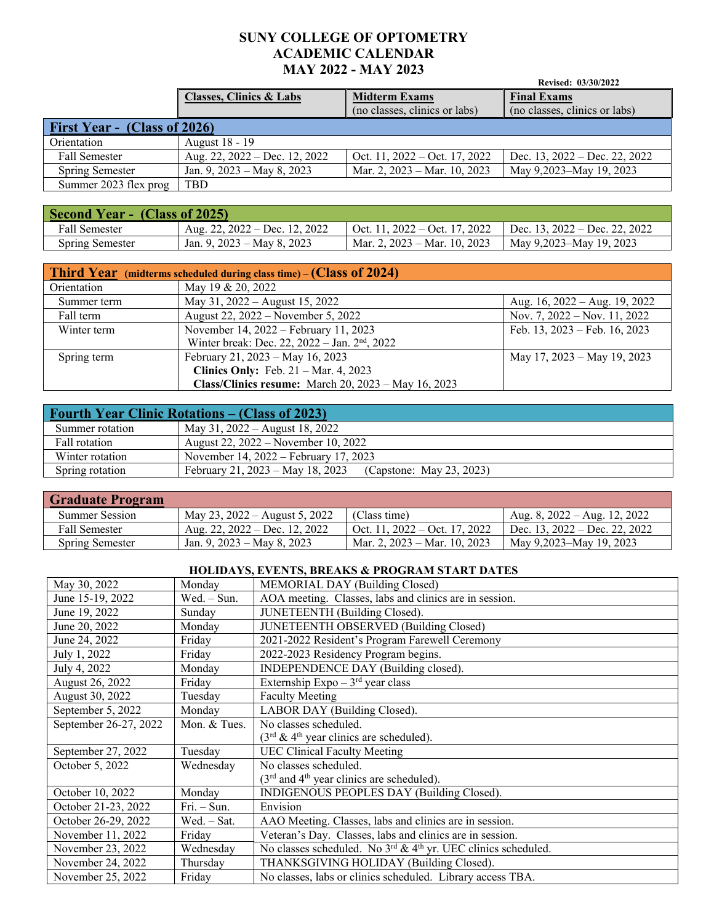## **SUNY COLLEGE OF OPTOMETRY ACADEMIC CALENDAR MAY 2022 - MAY 2023** Revised: 03/30/2022

|                              |                                    |                                                       | Revised: 03/30/2022                                 |
|------------------------------|------------------------------------|-------------------------------------------------------|-----------------------------------------------------|
|                              | <b>Classes, Clinics &amp; Labs</b> | <b>Midterm Exams</b><br>(no classes, clinics or labs) | <b>Final Exams</b><br>(no classes, clinics or labs) |
| First Year - (Class of 2026) |                                    |                                                       |                                                     |
| Orientation                  | August 18 - 19                     |                                                       |                                                     |
| <b>Fall Semester</b>         | Aug. 22, 2022 – Dec. 12, 2022      | Oct. 11, $2022 - \text{Oct. } 17, 2022$               | Dec. 13, $2022 - Dec. 22, 2022$                     |
| Spring Semester              | Jan. 9, $2023 - May 8$ , $2023$    | Mar. 2, $2023 - \text{Mar. } 10, 2023$                | May 9,2023-May 19, 2023                             |
| Summer 2023 flex prog        | <b>TBD</b>                         |                                                       |                                                     |

| <b>Second Year - (Class of 2025)</b> |                                 |                                                                         |                         |
|--------------------------------------|---------------------------------|-------------------------------------------------------------------------|-------------------------|
| Fall Semester                        | Aug. 22, 2022 – Dec. 12, 2022   | Oct. 11, 2022 – Oct. 17, 2022 $\parallel$ Dec. 13, 2022 – Dec. 22, 2022 |                         |
| <b>Spring Semester</b>               | Jan. 9, $2023 - May 8$ , $2023$ | Mar. 2, 2023 – Mar. 10, 2023                                            | May 9,2023–May 19, 2023 |

| <b>Third Year</b> (midterms scheduled during class time) $-(Class\ of\ 2024)$ |                                                             |                                       |  |
|-------------------------------------------------------------------------------|-------------------------------------------------------------|---------------------------------------|--|
| Orientation                                                                   | May 19 & 20, 2022                                           |                                       |  |
| Summer term                                                                   | May 31, 2022 – August 15, 2022                              | Aug. $16$ , $2022 - Aug. 19$ , $2022$ |  |
| Fall term                                                                     | August 22, 2022 – November 5, 2022                          | Nov. 7, $2022 - Nov. 11, 2022$        |  |
| Winter term                                                                   | November 14, 2022 – February 11, 2023                       | Feb. 13, 2023 - Feb. 16, 2023         |  |
|                                                                               | Winter break: Dec. 22, 2022 - Jan. 2 <sup>nd</sup> , 2022   |                                       |  |
| Spring term                                                                   | February 21, 2023 - May 16, 2023                            | May 17, 2023 – May 19, 2023           |  |
|                                                                               | Clinics Only: Feb. $21 - \text{Mar. } 4$ , 2023             |                                       |  |
|                                                                               | Class/Clinics resume: March $20$ , $2023 - May 16$ , $2023$ |                                       |  |

| <b>Fourth Year Clinic Rotations – (Class of 2023)</b> |                                                           |  |  |
|-------------------------------------------------------|-----------------------------------------------------------|--|--|
| Summer rotation                                       | May 31, 2022 – August 18, 2022                            |  |  |
| Fall rotation                                         | August 22, 2022 – November 10, 2022                       |  |  |
| Winter rotation                                       | November 14, 2022 – February 17, 2023                     |  |  |
| Spring rotation                                       | February 21, 2023 – May 18, 2023 (Capstone: May 23, 2023) |  |  |

| <b>Graduate Program</b> |                               |                                         |                                |
|-------------------------|-------------------------------|-----------------------------------------|--------------------------------|
| Summer Session          | May 23, 2022 – August 5, 2022 | (Class time)                            | Aug. 8, $2022 - Aug. 12, 2022$ |
| Fall Semester           | Aug. 22, 2022 – Dec. 12, 2022 | Oct. 11, $2022 - \text{Oct. } 17, 2022$ | Dec. 13, 2022 – Dec. 22, 2022  |
| Spring Semester         | Jan. 9, 2023 – May 8, 2023    | Mar. 2, 2023 – Mar. 10, 2023            | May 9,2023–May 19, 2023        |

## **HOLIDAYS, EVENTS, BREAKS & PROGRAM START DATES**

| May 30, 2022          | Monday        | MEMORIAL DAY (Building Closed)                                                        |
|-----------------------|---------------|---------------------------------------------------------------------------------------|
| June 15-19, 2022      | Wed. - Sun.   | AOA meeting. Classes, labs and clinics are in session.                                |
| June 19, 2022         | Sunday        | JUNETEENTH (Building Closed).                                                         |
| June 20, 2022         | Monday        | <b>JUNETEENTH OBSERVED (Building Closed)</b>                                          |
| June 24, 2022         | Friday        | 2021-2022 Resident's Program Farewell Ceremony                                        |
| July 1, 2022          | Friday        | 2022-2023 Residency Program begins.                                                   |
| July 4, 2022          | Monday        | INDEPENDENCE DAY (Building closed).                                                   |
| August 26, 2022       | Friday        | Externship Expo $-3^{rd}$ year class                                                  |
| August 30, 2022       | Tuesday       | <b>Faculty Meeting</b>                                                                |
| September 5, 2022     | Monday        | LABOR DAY (Building Closed).                                                          |
| September 26-27, 2022 | Mon. & Tues.  | No classes scheduled.                                                                 |
|                       |               | $(3rd \& 4th$ year clinics are scheduled).                                            |
| September 27, 2022    | Tuesday       | <b>UEC Clinical Faculty Meeting</b>                                                   |
| October 5, 2022       | Wednesday     | No classes scheduled.                                                                 |
|                       |               | (3rd and 4 <sup>th</sup> year clinics are scheduled).                                 |
| October 10, 2022      | Monday        | INDIGENOUS PEOPLES DAY (Building Closed).                                             |
| October 21-23, 2022   | $Fri. - Sun.$ | Envision                                                                              |
| October 26-29, 2022   | Wed. - Sat.   | AAO Meeting. Classes, labs and clinics are in session.                                |
| November 11, 2022     | Friday        | Veteran's Day. Classes, labs and clinics are in session.                              |
| November 23, 2022     | Wednesday     | No classes scheduled. No 3 <sup>rd</sup> & 4 <sup>th</sup> yr. UEC clinics scheduled. |
| November 24, 2022     | Thursday      | THANKSGIVING HOLIDAY (Building Closed).                                               |
| November 25, 2022     | Friday        | No classes, labs or clinics scheduled. Library access TBA.                            |